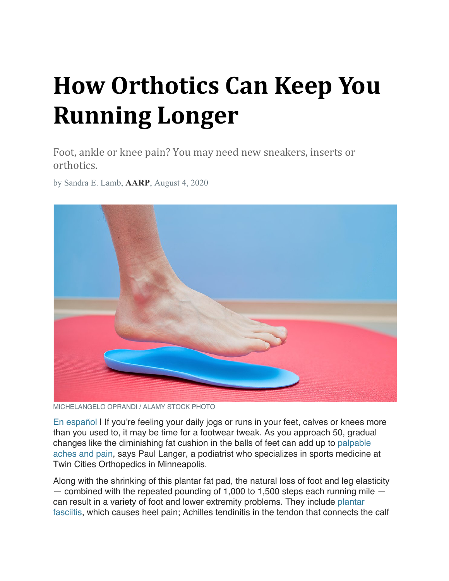# **How Orthotics Can Keep You Running Longer**

Foot, ankle or knee pain? You may need new sneakers, inserts or orthotics.

by Sandra E. Lamb, **AARP**, August 4, 2020



MICHELANGELO OPRANDI / ALAMY STOCK PHOTO

En español I If you're feeling your daily jogs or runs in your feet, calves or knees more than you used to, it may be time for a footwear tweak. As you approach 50, gradual changes like the diminishing fat cushion in the balls of feet can add up to palpable aches and pain, says Paul Langer, a podiatrist who specializes in sports medicine at Twin Cities Orthopedics in Minneapolis.

Along with the shrinking of this plantar fat pad, the natural loss of foot and leg elasticity — combined with the repeated pounding of 1,000 to 1,500 steps each running mile can result in a variety of foot and lower extremity problems. They include plantar fasciitis, which causes heel pain; Achilles tendinitis in the tendon that connects the calf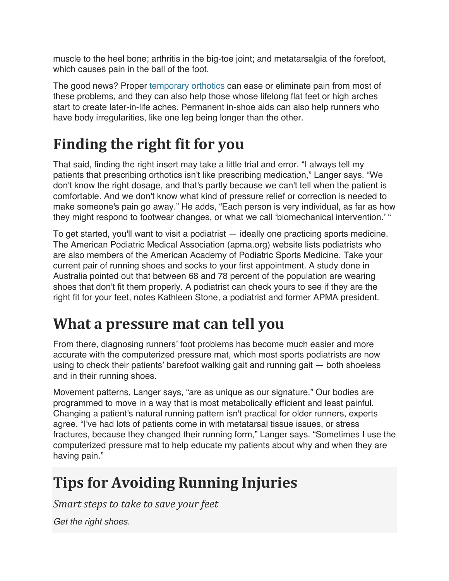muscle to the heel bone; arthritis in the big-toe joint; and metatarsalgia of the forefoot, which causes pain in the ball of the foot.

The good news? Proper temporary orthotics can ease or eliminate pain from most of these problems, and they can also help those whose lifelong flat feet or high arches start to create later-in-life aches. Permanent in-shoe aids can also help runners who have body irregularities, like one leg being longer than the other.

# Finding the right fit for you

That said, finding the right insert may take a little trial and error. "I always tell my patients that prescribing orthotics isn't like prescribing medication," Langer says. "We don't know the right dosage, and that's partly because we can't tell when the patient is comfortable. And we don't know what kind of pressure relief or correction is needed to make someone's pain go away." He adds, "Each person is very individual, as far as how they might respond to footwear changes, or what we call 'biomechanical intervention.' "

To get started, you'll want to visit a podiatrist — ideally one practicing sports medicine. The American Podiatric Medical Association (apma.org) website lists podiatrists who are also members of the American Academy of Podiatric Sports Medicine. Take your current pair of running shoes and socks to your first appointment. A study done in Australia pointed out that between 68 and 78 percent of the population are wearing shoes that don't fit them properly. A podiatrist can check yours to see if they are the right fit for your feet, notes Kathleen Stone, a podiatrist and former APMA president.

## **What a pressure mat can tell you**

From there, diagnosing runners' foot problems has become much easier and more accurate with the computerized pressure mat, which most sports podiatrists are now using to check their patients' barefoot walking gait and running gait — both shoeless and in their running shoes.

Movement patterns, Langer says, "are as unique as our signature." Our bodies are programmed to move in a way that is most metabolically efficient and least painful. Changing a patient's natural running pattern isn't practical for older runners, experts agree. "I've had lots of patients come in with metatarsal tissue issues, or stress fractures, because they changed their running form," Langer says. "Sometimes I use the computerized pressure mat to help educate my patients about why and when they are having pain."

# **Tips for Avoiding Running Injuries**

*Smart steps to take to save your feet* 

*Get the right shoes.*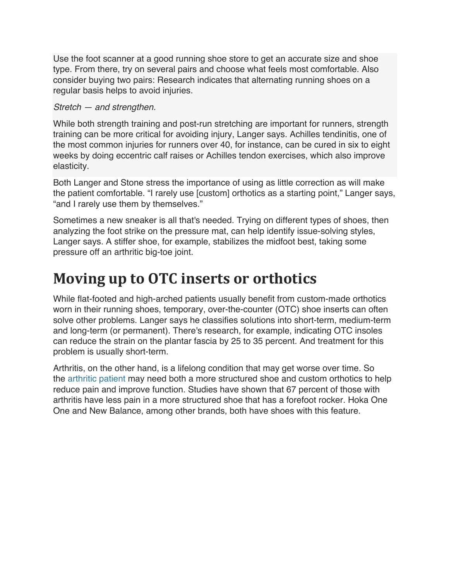Use the foot scanner at a good running shoe store to get an accurate size and shoe type. From there, try on several pairs and choose what feels most comfortable. Also consider buying two pairs: Research indicates that alternating running shoes on a regular basis helps to avoid injuries.

#### *Stretch — and strengthen.*

While both strength training and post-run stretching are important for runners, strength training can be more critical for avoiding injury, Langer says. Achilles tendinitis, one of the most common injuries for runners over 40, for instance, can be cured in six to eight weeks by doing eccentric calf raises or Achilles tendon exercises, which also improve elasticity.

Both Langer and Stone stress the importance of using as little correction as will make the patient comfortable. "I rarely use [custom] orthotics as a starting point," Langer says, "and I rarely use them by themselves."

Sometimes a new sneaker is all that's needed. Trying on different types of shoes, then analyzing the foot strike on the pressure mat, can help identify issue-solving styles, Langer says. A stiffer shoe, for example, stabilizes the midfoot best, taking some pressure off an arthritic big-toe joint.

### **Moving up to OTC inserts or orthotics**

While flat-footed and high-arched patients usually benefit from custom-made orthotics worn in their running shoes, temporary, over-the-counter (OTC) shoe inserts can often solve other problems. Langer says he classifies solutions into short-term, medium-term and long-term (or permanent). There's research, for example, indicating OTC insoles can reduce the strain on the plantar fascia by 25 to 35 percent. And treatment for this problem is usually short-term.

Arthritis, on the other hand, is a lifelong condition that may get worse over time. So the arthritic patient may need both a more structured shoe and custom orthotics to help reduce pain and improve function. Studies have shown that 67 percent of those with arthritis have less pain in a more structured shoe that has a forefoot rocker. Hoka One One and New Balance, among other brands, both have shoes with this feature.